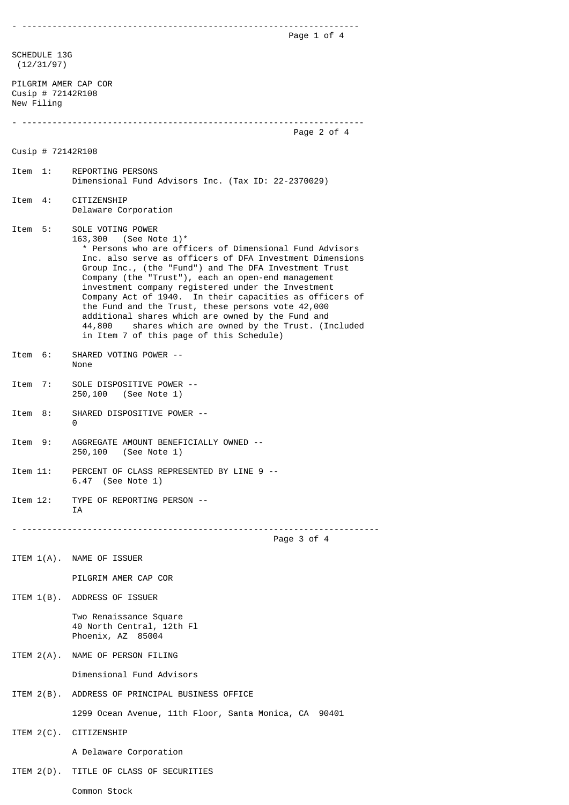- ------------------------------------------------------------------- Page 1 of 4 SCHEDULE 13G (12/31/97) PILGRIM AMER CAP COR Cusip # 72142R108 New Filing - -------------------------------------------------------------------- Page 2 of 4 Cusip # 72142R108 Item 1: REPORTING PERSONS Dimensional Fund Advisors Inc. (Tax ID: 22-2370029) Item 4: CITIZENSHIP Delaware Corporation Item 5: SOLE VOTING POWER 163,300 (See Note 1)\* \* Persons who are officers of Dimensional Fund Advisors Inc. also serve as officers of DFA Investment Dimensions Group Inc., (the "Fund") and The DFA Investment Trust Company (the "Trust"), each an open-end management investment company registered under the Investment Company Act of 1940. In their capacities as officers of the Fund and the Trust, these persons vote 42,000 additional shares which are owned by the Fund and 44,800 shares which are owned by the Trust. (Included in Item 7 of this page of this Schedule) Item 6: SHARED VOTING POWER -- None Item 7: SOLE DISPOSITIVE POWER -- 250,100 (See Note 1) Item 8: SHARED DISPOSITIVE POWER -- 0 Item 9: AGGREGATE AMOUNT BENEFICIALLY OWNED -- 250,100 (See Note 1) Item 11: PERCENT OF CLASS REPRESENTED BY LINE 9 -- 6.47 (See Note 1) Item 12: TYPE OF REPORTING PERSON -- IA - ----------------------------------------------------------------------- Page 3 of 4 ITEM 1(A). NAME OF ISSUER PILGRIM AMER CAP COR ITEM 1(B). ADDRESS OF ISSUER Two Renaissance Square 40 North Central, 12th Fl Phoenix, AZ 85004 ITEM 2(A). NAME OF PERSON FILING Dimensional Fund Advisors ITEM 2(B). ADDRESS OF PRINCIPAL BUSINESS OFFICE 1299 Ocean Avenue, 11th Floor, Santa Monica, CA 90401 ITEM 2(C). CITIZENSHIP A Delaware Corporation ITEM 2(D). TITLE OF CLASS OF SECURITIES

Common Stock